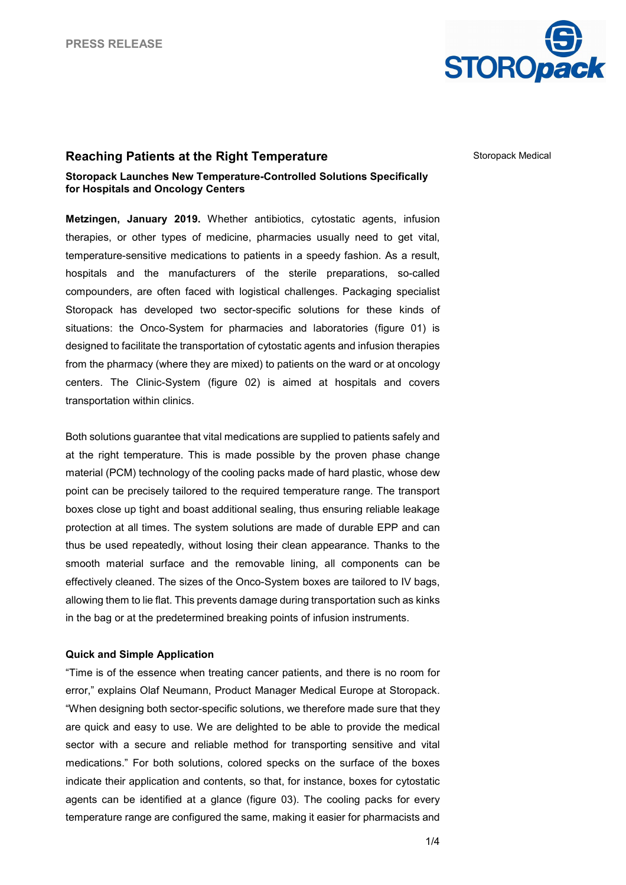

# **Reaching Patients at the Right Temperature**

Storopack Medical

### **Storopack Launches New Temperature-Controlled Solutions Specifically for Hospitals and Oncology Centers**

**Metzingen, January 2019.** Whether antibiotics, cytostatic agents, infusion therapies, or other types of medicine, pharmacies usually need to get vital, temperature-sensitive medications to patients in a speedy fashion. As a result, hospitals and the manufacturers of the sterile preparations, so-called compounders, are often faced with logistical challenges. Packaging specialist Storopack has developed two sector-specific solutions for these kinds of situations: the Onco-System for pharmacies and laboratories (figure 01) is designed to facilitate the transportation of cytostatic agents and infusion therapies from the pharmacy (where they are mixed) to patients on the ward or at oncology centers. The Clinic-System (figure 02) is aimed at hospitals and covers transportation within clinics.

Both solutions guarantee that vital medications are supplied to patients safely and at the right temperature. This is made possible by the proven phase change material (PCM) technology of the cooling packs made of hard plastic, whose dew point can be precisely tailored to the required temperature range. The transport boxes close up tight and boast additional sealing, thus ensuring reliable leakage protection at all times. The system solutions are made of durable EPP and can thus be used repeatedly, without losing their clean appearance. Thanks to the smooth material surface and the removable lining, all components can be effectively cleaned. The sizes of the Onco-System boxes are tailored to IV bags, allowing them to lie flat. This prevents damage during transportation such as kinks in the bag or at the predetermined breaking points of infusion instruments.

# **Quick and Simple Application**

"Time is of the essence when treating cancer patients, and there is no room for error," explains Olaf Neumann, Product Manager Medical Europe at Storopack. "When designing both sector-specific solutions, we therefore made sure that they are quick and easy to use. We are delighted to be able to provide the medical sector with a secure and reliable method for transporting sensitive and vital medications." For both solutions, colored specks on the surface of the boxes indicate their application and contents, so that, for instance, boxes for cytostatic agents can be identified at a glance (figure 03). The cooling packs for every temperature range are configured the same, making it easier for pharmacists and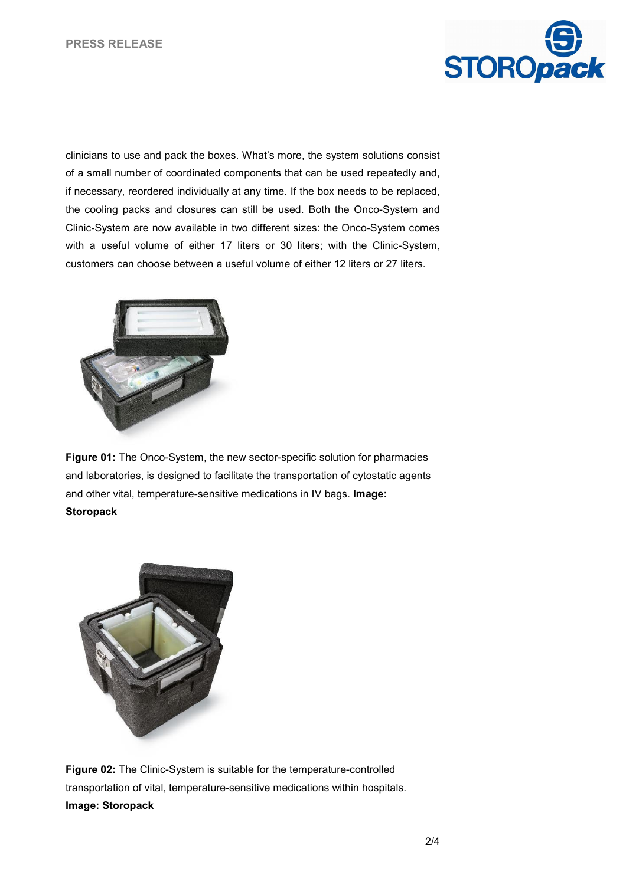

clinicians to use and pack the boxes. What's more, the system solutions consist of a small number of coordinated components that can be used repeatedly and, if necessary, reordered individually at any time. If the box needs to be replaced, the cooling packs and closures can still be used. Both the Onco-System and Clinic-System are now available in two different sizes: the Onco-System comes with a useful volume of either 17 liters or 30 liters; with the Clinic-System, customers can choose between a useful volume of either 12 liters or 27 liters.



**Figure 01:** The Onco-System, the new sector-specific solution for pharmacies and laboratories, is designed to facilitate the transportation of cytostatic agents and other vital, temperature-sensitive medications in IV bags. **Image: Storopack**



**Figure 02:** The Clinic-System is suitable for the temperature-controlled transportation of vital, temperature-sensitive medications within hospitals. **Image: Storopack**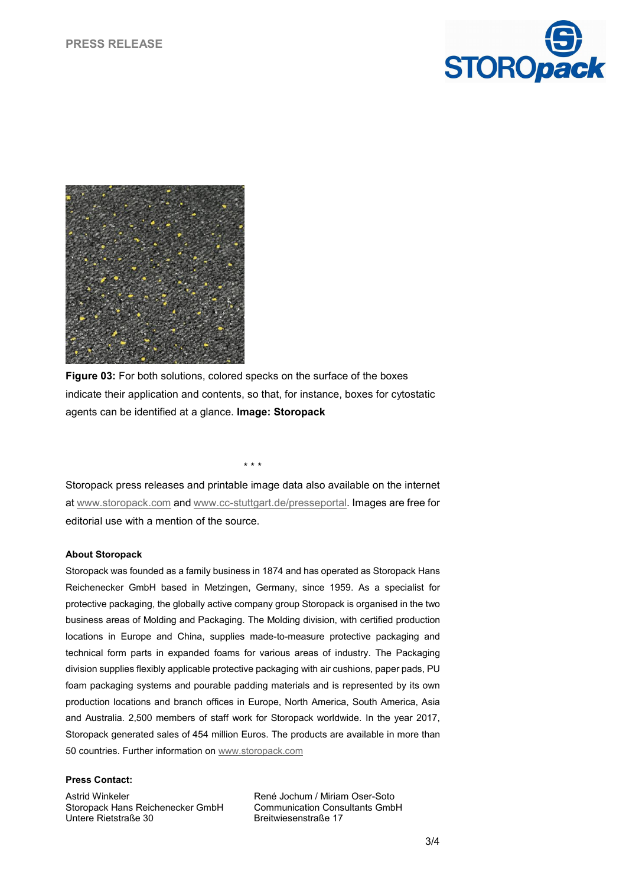



**Figure 03:** For both solutions, colored specks on the surface of the boxes indicate their application and contents, so that, for instance, boxes for cytostatic agents can be identified at a glance. **Image: Storopack**

\* \* \*

Storopack press releases and printable image data also available on the internet at [www.storopack.com](http://www.storopack.com/) and [www.cc-stuttgart.de/presseportal.](http://www.cc-stuttgart.de/presseportal) Images are free for editorial use with a mention of the source.

#### **About Storopack**

Storopack was founded as a family business in 1874 and has operated as Storopack Hans Reichenecker GmbH based in Metzingen, Germany, since 1959. As a specialist for protective packaging, the globally active company group Storopack is organised in the two business areas of Molding and Packaging. The Molding division, with certified production locations in Europe and China, supplies made-to-measure protective packaging and technical form parts in expanded foams for various areas of industry. The Packaging division supplies flexibly applicable protective packaging with air cushions, paper pads, PU foam packaging systems and pourable padding materials and is represented by its own production locations and branch offices in Europe, North America, South America, Asia and Australia. 2,500 members of staff work for Storopack worldwide. In the year 2017, Storopack generated sales of 454 million Euros. The products are available in more than 50 countries. Further information o[n www.storopack.com](http://www.storopack.com/)

#### **Press Contact:**

Astrid Winkeler Storopack Hans Reichenecker GmbH Untere Rietstraße 30

René Jochum / Miriam Oser-Soto Communication Consultants GmbH Breitwiesenstraße 17